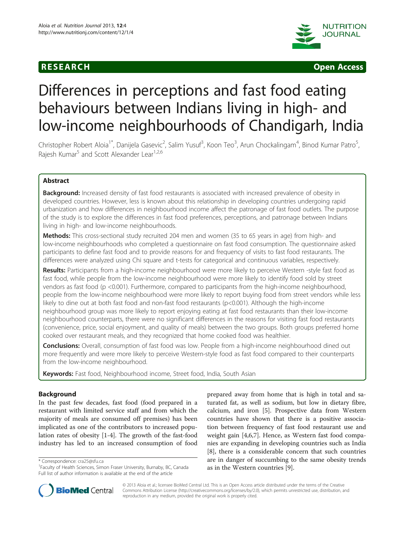



# Differences in perceptions and fast food eating behaviours between Indians living in high- and low-income neighbourhoods of Chandigarh, India

Christopher Robert Aloia<sup>1\*</sup>, Danijela Gasevic<sup>2</sup>, Salim Yusuf<sup>3</sup>, Koon Teo<sup>3</sup>, Arun Chockalingam<sup>4</sup>, Binod Kumar Patro<sup>5</sup> , Rajesh Kumar<sup>5</sup> and Scott Alexander Lear<sup>1,2,6</sup>

# Abstract

**Background:** Increased density of fast food restaurants is associated with increased prevalence of obesity in developed countries. However, less is known about this relationship in developing countries undergoing rapid urbanization and how differences in neighbourhood income affect the patronage of fast food outlets. The purpose of the study is to explore the differences in fast food preferences, perceptions, and patronage between Indians living in high- and low-income neighbourhoods.

Methods: This cross-sectional study recruited 204 men and women (35 to 65 years in age) from high- and low-income neighbourhoods who completed a questionnaire on fast food consumption. The questionnaire asked participants to define fast food and to provide reasons for and frequency of visits to fast food restaurants. The differences were analyzed using Chi square and t-tests for categorical and continuous variables, respectively.

Results: Participants from a high-income neighbourhood were more likely to perceive Western -style fast food as fast food, while people from the low-income neighbourhood were more likely to identify food sold by street vendors as fast food (p <0.001). Furthermore, compared to participants from the high-income neighbourhood, people from the low-income neighbourhood were more likely to report buying food from street vendors while less likely to dine out at both fast food and non-fast food restaurants (p<0.001). Although the high-income neighbourhood group was more likely to report enjoying eating at fast food restaurants than their low-income neighbourhood counterparts, there were no significant differences in the reasons for visiting fast food restaurants (convenience, price, social enjoyment, and quality of meals) between the two groups. Both groups preferred home cooked over restaurant meals, and they recognized that home cooked food was healthier.

**Conclusions:** Overall, consumption of fast food was low. People from a high-income neighbourhood dined out more frequently and were more likely to perceive Western-style food as fast food compared to their counterparts from the low-income neighbourhood.

Keywords: Fast food, Neighbourhood income, Street food, India, South Asian

# Background

In the past few decades, fast food (food prepared in a restaurant with limited service staff and from which the majority of meals are consumed off premises) has been implicated as one of the contributors to increased population rates of obesity [1-4]. The growth of the fast-food industry has led to an increased consumption of food

\* Correspondence: cra25@sfu.ca <sup>1</sup>

<sup>&</sup>lt;sup>1</sup> Faculty of Health Sciences, Simon Fraser University, Burnaby, BC, Canada Full list of author information is available at the end of the article





© 2013 Aloia et al.; licensee BioMed Central Ltd. This is an Open Access article distributed under the terms of the Creative Commons Attribution License (http://creativecommons.org/licenses/by/2.0), which permits unrestricted use, distribution, and reproduction in any medium, provided the original work is properly cited.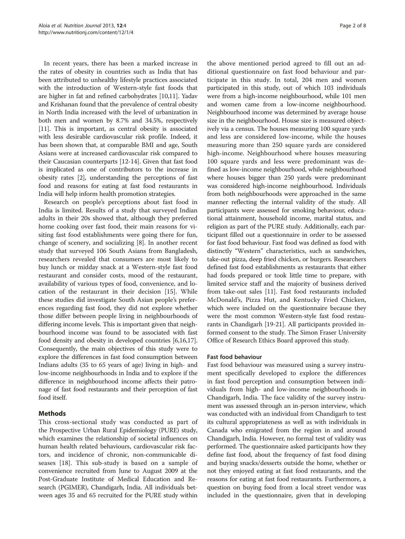In recent years, there has been a marked increase in the rates of obesity in countries such as India that has been attributed to unhealthy lifestyle practices associated with the introduction of Western-style fast foods that are higher in fat and refined carbohydrates [10,11]. Yadav and Krishanan found that the prevalence of central obesity in North India increased with the level of urbanization in both men and women by 8.7% and 34.5%, respectively [11]. This is important, as central obesity is associated with less desirable cardiovascular risk profile. Indeed, it has been shown that, at comparable BMI and age, South Asians were at increased cardiovascular risk compared to their Caucasian counterparts [12-14]. Given that fast food is implicated as one of contributors to the increase in obesity rates [2], understanding the perceptions of fast food and reasons for eating at fast food restaurants in India will help inform health promotion strategies.

Research on people's perceptions about fast food in India is limited. Results of a study that surveyed Indian adults in their 20s showed that, although they preferred home cooking over fast food, their main reasons for visiting fast food establishments were going there for fun, change of scenery, and socializing [8]. In another recent study that surveyed 106 South Asians from Bangladesh, researchers revealed that consumers are most likely to buy lunch or midday snack at a Western-style fast food restaurant and consider costs, mood of the restaurant, availability of various types of food, convenience, and location of the restaurant in their decision [15]. While these studies did investigate South Asian people's preferences regarding fast food, they did not explore whether those differ between people living in neighbourhoods of differing income levels. This is important given that neighbourhood income was found to be associated with fast food density and obesity in developed countries [6,16,17]. Consequently, the main objectives of this study were to explore the differences in fast food consumption between Indians adults (35 to 65 years of age) living in high- and low-income neighbourhoods in India and to explore if the difference in neighbourhood income affects their patronage of fast food restaurants and their perception of fast food itself.

# Methods

This cross-sectional study was conducted as part of the Prospective Urban Rural Epidemiology (PURE) study, which examines the relationship of societal influences on human health related behaviours, cardiovascular risk factors, and incidence of chronic, non-communicable diseases [18]. This sub-study is based on a sample of convenience recruited from June to August 2009 at the Post-Graduate Institute of Medical Education and Research (PGIMER), Chandigarh, India. All individuals between ages 35 and 65 recruited for the PURE study within

the above mentioned period agreed to fill out an additional questionnaire on fast food behaviour and participate in this study. In total, 204 men and women participated in this study, out of which 103 individuals were from a high-income neighbourhood, while 101 men and women came from a low-income neighbourhood. Neighbourhood income was determined by average house size in the neighbourhood. House size is measured objectively via a census. The houses measuring 100 square yards and less are considered low-income, while the houses measuring more than 250 square yards are considered high-income. Neighbourhood where houses measuring 100 square yards and less were predominant was defined as low-income neighbourhood, while neighbourhood where houses bigger than 250 yards were predominant was considered high-income neighbourhood. Individuals from both neighbourhoods were approached in the same manner reflecting the internal validity of the study. All participants were assessed for smoking behaviour, educational attainment, household income, marital status, and religion as part of the PURE study. Additionally, each participant filled out a questionnaire in order to be assessed for fast food behaviour. Fast food was defined as food with distinctly "Western" characteristics, such as sandwiches, take-out pizza, deep fried chicken, or burgers. Researchers defined fast food establishments as restaurants that either had foods prepared or took little time to prepare, with limited service staff and the majority of business derived from take-out sales [11]. Fast food restaurants included McDonald's, Pizza Hut, and Kentucky Fried Chicken, which were included on the questionnaire because they were the most common Western-style fast food restaurants in Chandigarh [19-21]. All participants provided informed consent to the study. The Simon Fraser University Office of Research Ethics Board approved this study.

# Fast food behaviour

Fast food behaviour was measured using a survey instrument specifically developed to explore the differences in fast food perception and consumption between individuals from high- and low-income neighbourhoods in Chandigarh, India. The face validity of the survey instrument was assessed through an in-person interview, which was conducted with an individual from Chandigarh to test its cultural appropriateness as well as with individuals in Canada who emigrated from the region in and around Chandigarh, India. However, no formal test of validity was performed. The questionnaire asked participants how they define fast food, about the frequency of fast food dining and buying snacks/desserts outside the home, whether or not they enjoyed eating at fast food restaurants, and the reasons for eating at fast food restaurants. Furthermore, a question on buying food from a local street vendor was included in the questionnaire, given that in developing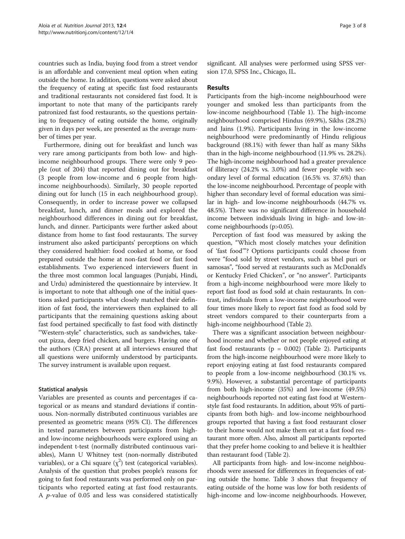countries such as India, buying food from a street vendor is an affordable and convenient meal option when eating outside the home. In addition, questions were asked about the frequency of eating at specific fast food restaurants and traditional restaurants not considered fast food. It is important to note that many of the participants rarely patronized fast food restaurants, so the questions pertaining to frequency of eating outside the home, originally given in days per week, are presented as the average number of times per year.

Furthermore, dining out for breakfast and lunch was very rare among participants from both low- and highincome neighbourhood groups. There were only 9 people (out of 204) that reported dining out for breakfast (3 people from low-income and 6 people from highincome neighbourhoods). Similarly, 30 people reported dining out for lunch (15 in each neighbourhood group). Consequently, in order to increase power we collapsed breakfast, lunch, and dinner meals and explored the neighbourhood differences in dining out for breakfast, lunch, and dinner. Participants were further asked about distance from home to fast food restaurants. The survey instrument also asked participants' perceptions on which they considered healthier: food cooked at home, or food prepared outside the home at non-fast food or fast food establishments. Two experienced interviewers fluent in the three most common local languages (Punjabi, Hindi, and Urdu) administered the questionnaire by interview. It is important to note that although one of the initial questions asked participants what closely matched their definition of fast food, the interviewers then explained to all participants that the remaining questions asking about fast food pertained specifically to fast food with distinctly "Western-style" characteristics, such as sandwiches, takeout pizza, deep fried chicken, and burgers. Having one of the authors (CRA) present at all interviews ensured that all questions were uniformly understood by participants. The survey instrument is available upon request.

#### Statistical analysis

Variables are presented as counts and percentages if categorical or as means and standard deviations if continuous. Non-normally distributed continuous variables are presented as geometric means (95% CI). The differences in tested parameters between participants from highand low-income neighbourhoods were explored using an independent t-test (normally distributed continuous variables), Mann U Whitney test (non-normally distributed variables), or a Chi square  $(\chi^2)$  test (categorical variables). Analysis of the question that probes people's reasons for going to fast food restaurants was performed only on participants who reported eating at fast food restaurants. A p-value of 0.05 and less was considered statistically

significant. All analyses were performed using SPSS version 17.0, SPSS Inc., Chicago, IL.

# Results

Participants from the high-income neighbourhood were younger and smoked less than participants from the low-income neighbourhood (Table 1). The high-income neighbourhood comprised Hindus (69.9%), Sikhs (28.2%) and Jains (1.9%). Participants living in the low-income neighbourhood were predominantly of Hindu religious background (88.1%) with fewer than half as many Sikhs than in the high-income neighbourhood (11.9% vs. 28.2%). The high-income neighbourhood had a greater prevalence of illiteracy (24.2% vs. 3.0%) and fewer people with secondary level of formal education (16.5% vs. 37.6%) than the low-income neighbourhood. Percentage of people with higher than secondary level of formal education was similar in high- and low-income neighbourhoods (44.7% vs. 48.5%). There was no significant difference in household income between individuals living in high- and low-income neighbourhoods (p>0.05).

Perception of fast food was measured by asking the question, "Which most closely matches your definition of 'fast food'"? Options participants could choose from were "food sold by street vendors, such as bhel puri or samosas", "food served at restaurants such as McDonald's or Kentucky Fried Chicken", or "no answer". Participants from a high-income neighbourhood were more likely to report fast food as food sold at chain restaurants. In contrast, individuals from a low-income neighbourhood were four times more likely to report fast food as food sold by street vendors compared to their counterparts from a high-income neighbourhood (Table 2).

There was a significant association between neighbourhood income and whether or not people enjoyed eating at fast food restaurants ( $p = 0.002$ ) (Table 2). Participants from the high-income neighbourhood were more likely to report enjoying eating at fast food restaurants compared to people from a low-income neighbourhood (30.1% vs. 9.9%). However, a substantial percentage of participants from both high-income (35%) and low-income (49.5%) neighbourhoods reported not eating fast food at Westernstyle fast food restaurants. In addition, about 95% of participants from both high- and low-income neighbourhood groups reported that having a fast food restaurant closer to their home would not make them eat at a fast food restaurant more often. Also, almost all participants reported that they prefer home cooking to and believe it is healthier than restaurant food (Table 2).

All participants from high- and low-income neighbourhoods were assessed for differences in frequencies of eating outside the home. Table 3 shows that frequency of eating outside of the home was low for both residents of high-income and low-income neighbourhoods. However,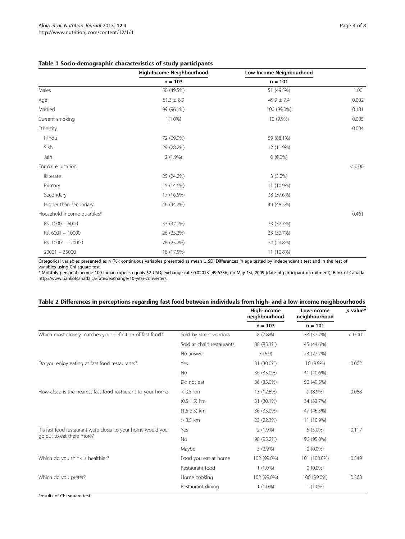|                             | High-Income Neighbourhood | Low-Income Neighbourhood |         |
|-----------------------------|---------------------------|--------------------------|---------|
|                             | $n = 103$                 | $n = 101$                |         |
| Males                       | 50 (49.5%)                | 51 (49.5%)               | 1.00    |
| Age                         | $51.3 \pm 8.9$            | $49.9 \pm 7.4$           | 0.002   |
| Married                     | 99 (96.1%)                | 100 (99.0%)              | 0.181   |
| Current smoking             | $1(1.0\%)$                | 10 (9.9%)                | 0.005   |
| Ethnicity                   |                           |                          | 0.004   |
| Hindu                       | 72 (69.9%)                | 89 (88.1%)               |         |
| Sikh                        | 29 (28.2%)                | 12 (11.9%)               |         |
| Jain                        | $2(1.9\%)$                | $0(0.0\%)$               |         |
| Formal education            |                           |                          | < 0.001 |
| Illiterate                  | 25 (24.2%)                | $3(3.0\%)$               |         |
| Primary                     | 15 (14.6%)                | 11 (10.9%)               |         |
| Secondary                   | 17 (16.5%)                | 38 (37.6%)               |         |
| Higher than secondary       | 46 (44.7%)                | 49 (48.5%)               |         |
| Household income quartiles* |                           |                          | 0.461   |
| Rs. 1000 - 6000             | 33 (32.1%)                | 33 (32.7%)               |         |
| Rs. 6001 - 10000            | 26 (25.2%)                | 33 (32.7%)               |         |
| Rs. 10001 - 20000           | 26 (25.2%)                | 24 (23.8%)               |         |
| $20001 - 35000$             | 18 (17.5%)                | 11 (10.8%)               |         |

#### Table 1 Socio-demographic characteristics of study participants

Categorical variables presented as n (%); continuous variables presented as mean ± SD; Differences in age tested by independent t test and in the rest of variables using Chi-square test.

\* Monthly personal income 100 Indian rupees equals \$2 USD; exchange rate 0.02013 [49.6736] on May 1st, 2009 (date of participant recruitment), Bank of Canada http://www.bankofcanada.ca/rates/exchange/10-year-converter/.

# Table 2 Differences in perceptions regarding fast food between individuals from high- and a low-income neighbourhoods

|                                                              |                           | High-income<br>neighbourhood<br>$n = 103$ | $n = 101$    | Low-income<br>neighbourhood | $p$ value* |
|--------------------------------------------------------------|---------------------------|-------------------------------------------|--------------|-----------------------------|------------|
|                                                              |                           |                                           |              |                             |            |
| Which most closely matches your definition of fast food?     | Sold by street vendors    | 8(7.8%)                                   | 33 (32.7%)   | < 0.001                     |            |
|                                                              | Sold at chain restaurants | 88 (85.3%)                                | 45 (44.6%)   |                             |            |
|                                                              | No answer                 | 7(6.9)                                    | 23 (22.7%)   |                             |            |
| Do you enjoy eating at fast food restaurants?                | Yes                       | 31 (30.0%)                                | 10 (9.9%)    | 0.002                       |            |
|                                                              | No.                       | 36 (35.0%)                                | 41 (40.6%)   |                             |            |
|                                                              | Do not eat                | 36 (35.0%)                                | 50 (49.5%)   |                             |            |
| How close is the nearest fast food restaurant to your home   | $< 0.5$ km                | 13 (12.6%)                                | $9(8.9\%)$   | 0.088                       |            |
|                                                              | $(0.5-1.5)$ km            | 31 (30.1%)                                | 34 (33.7%)   |                             |            |
|                                                              | $(1.5-3.5)$ km            | 36 (35.0%)                                | 47 (46.5%)   |                             |            |
|                                                              | $> 3.5$ km                | 23 (22.3%)                                | 11 (10.9%)   |                             |            |
| If a fast food restaurant were closer to your home would you | Yes                       | $2(1.9\%)$                                | $5(5.0\%)$   | 0.117                       |            |
| go out to eat there more?                                    | <b>No</b>                 | 98 (95.2%)                                | 96 (95.0%)   |                             |            |
|                                                              | Maybe                     | $3(2.9\%)$                                | $0(0.0\%)$   |                             |            |
| Which do you think is healthier?                             | Food you eat at home      | 102 (99.0%)                               | 101 (100.0%) | 0.549                       |            |
|                                                              | Restaurant food           | $1(1.0\%)$                                | $0(0.0\%)$   |                             |            |
| Which do you prefer?                                         | Home cooking              | 102 (99.0%)                               | 100 (99.0%)  | 0.368                       |            |
|                                                              | Restaurant dining         | $1(1.0\%)$                                | $1(1.0\%)$   |                             |            |

\*results of Chi-square test.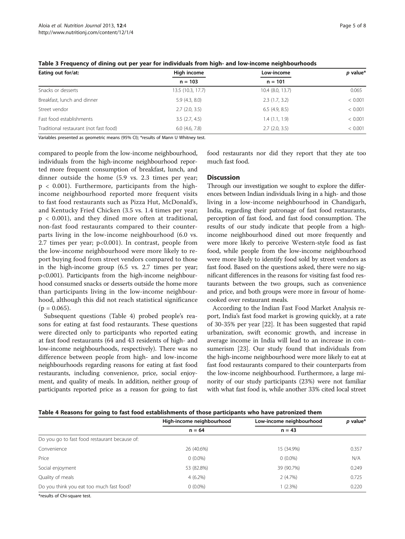| Eating out for/at:                     | High income<br>$n = 103$ | Low-income<br>$n = 101$ | $p$ value* |
|----------------------------------------|--------------------------|-------------------------|------------|
|                                        |                          |                         |            |
| Snacks or desserts                     | 13.5 (10.3, 17.7)        | 10.4 (8.0, 13.7)        | 0.065      |
| Breakfast, lunch and dinner            | 5.9(4.3, 8.0)            | 2.3(1.7, 3.2)           | < 0.001    |
| Street vendor                          | $2.7$ (2.0, 3.5)         | 6.5(4.9, 8.5)           | < 0.001    |
| Fast food establishments               | 3.5(2.7, 4.5)            | 1.4(1.1, 1.9)           | < 0.001    |
| Traditional restaurant (not fast food) | 6.0(4.6, 7.8)            | 2.7(2.0, 3.5)           | < 0.001    |

Table 3 Frequency of dining out per year for individuals from high- and low-income neighbourhoods

Variables presented as geometric means (95% CI); \*results of Mann U Whitney test.

compared to people from the low-income neighbourhood, individuals from the high-income neighbourhood reported more frequent consumption of breakfast, lunch, and dinner outside the home (5.9 vs. 2.3 times per year;  $p < 0.001$ ). Furthermore, participants from the highincome neighbourhood reported more frequent visits to fast food restaurants such as Pizza Hut, McDonald's, and Kentucky Fried Chicken (3.5 vs. 1.4 times per year; p < 0.001), and they dined more often at traditional, non-fast food restaurants compared to their counterparts living in the low-income neighbourhood (6.0 vs. 2.7 times per year; p<0.001). In contrast, people from the low-income neighbourhood were more likely to report buying food from street vendors compared to those in the high-income group (6.5 vs. 2.7 times per year; p<0.001). Participants from the high-income neighbourhood consumed snacks or desserts outside the home more than participants living in the low-income neighbourhood, although this did not reach statistical significance  $(p = 0.065)$ .

Subsequent questions (Table 4) probed people's reasons for eating at fast food restaurants. These questions were directed only to participants who reported eating at fast food restaurants (64 and 43 residents of high- and low-income neighbourhoods, respectively). There was no difference between people from high- and low-income neighbourhoods regarding reasons for eating at fast food restaurants, including convenience, price, social enjoyment, and quality of meals. In addition, neither group of participants reported price as a reason for going to fast

food restaurants nor did they report that they ate too much fast food.

## **Discussion**

Through our investigation we sought to explore the differences between Indian individuals living in a high- and those living in a low-income neighbourhood in Chandigarh, India, regarding their patronage of fast food restaurants, perception of fast food, and fast food consumption. The results of our study indicate that people from a highincome neighbourhood dined out more frequently and were more likely to perceive Western-style food as fast food, while people from the low-income neighbourhood were more likely to identify food sold by street vendors as fast food. Based on the questions asked, there were no significant differences in the reasons for visiting fast food restaurants between the two groups, such as convenience and price, and both groups were more in favour of homecooked over restaurant meals.

According to the Indian Fast Food Market Analysis report, India's fast food market is growing quickly, at a rate of 30-35% per year [22]. It has been suggested that rapid urbanization, swift economic growth, and increase in average income in India will lead to an increase in consumerism [23]. Our study found that individuals from the high-income neighbourhood were more likely to eat at fast food restaurants compared to their counterparts from the low-income neighbourhood. Furthermore, a large minority of our study participants (23%) were not familiar with what fast food is, while another 33% cited local street

| Table 4 Reasons for going to fast food establishments of those participants who have patronized them |  |
|------------------------------------------------------------------------------------------------------|--|
|------------------------------------------------------------------------------------------------------|--|

|                                               | High-income neighbourhood | Low-income neighbourhood | $p$ value* |
|-----------------------------------------------|---------------------------|--------------------------|------------|
|                                               | $n = 64$                  | $n = 43$                 |            |
| Do you go to fast food restaurant because of: |                           |                          |            |
| Convenience                                   | 26 (40.6%)                | 15 (34.9%)               | 0.357      |
| Price                                         | $0(0.0\%)$                | $0(0.0\%)$               | N/A        |
| Social enjoyment                              | 53 (82.8%)                | 39 (90.7%)               | 0.249      |
| Quality of meals                              | $4(6.2\%)$                | 2(4.7%)                  | 0.725      |
| Do you think you eat too much fast food?      | $0(0.0\%)$                | $1(2.3\%)$               | 0.220      |

\*results of Chi-square test.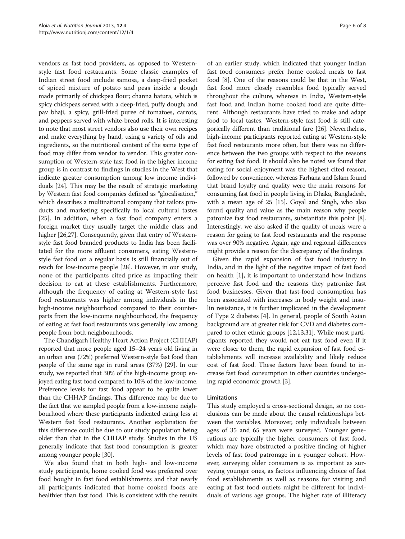vendors as fast food providers, as opposed to Westernstyle fast food restaurants. Some classic examples of Indian street food include samosa, a deep-fried pocket of spiced mixture of potato and peas inside a dough made primarily of chickpea flour; channa batura, which is spicy chickpeas served with a deep-fried, puffy dough; and pav bhaji, a spicy, grill-fried puree of tomatoes, carrots, and peppers served with white-bread rolls. It is interesting to note that most street vendors also use their own recipes and make everything by hand, using a variety of oils and ingredients, so the nutritional content of the same type of food may differ from vendor to vendor. This greater consumption of Western-style fast food in the higher income group is in contrast to findings in studies in the West that indicate greater consumption among low income individuals [24]. This may be the result of strategic marketing by Western fast food companies defined as "glocalisation," which describes a multinational company that tailors products and marketing specifically to local cultural tastes [25]. In addition, when a fast food company enters a foreign market they usually target the middle class and higher [26,27]. Consequently, given that entry of Westernstyle fast food branded products to India has been facilitated for the more affluent consumers, eating Westernstyle fast food on a regular basis is still financially out of reach for low-income people [28]. However, in our study, none of the participants cited price as impacting their decision to eat at these establishments. Furthermore, although the frequency of eating at Western-style fast food restaurants was higher among individuals in the high-income neighbourhood compared to their counterparts from the low-income neighbourhood, the frequency of eating at fast food restaurants was generally low among people from both neighbourhoods.

The Chandigarh Healthy Heart Action Project (CHHAP) reported that more people aged 15–24 years old living in an urban area (72%) preferred Western-style fast food than people of the same age in rural areas (37%) [29]. In our study, we reported that 30% of the high-income group enjoyed eating fast food compared to 10% of the low-income. Preference levels for fast food appear to be quite lower than the CHHAP findings. This difference may be due to the fact that we sampled people from a low-income neighbourhood where these participants indicated eating less at Western fast food restaurants. Another explanation for this difference could be due to our study population being older than that in the CHHAP study. Studies in the US generally indicate that fast food consumption is greater among younger people [30].

We also found that in both high- and low-income study participants, home cooked food was preferred over food bought in fast food establishments and that nearly all participants indicated that home cooked foods are healthier than fast food. This is consistent with the results

of an earlier study, which indicated that younger Indian fast food consumers prefer home cooked meals to fast food [8]. One of the reasons could be that in the West, fast food more closely resembles food typically served throughout the culture, whereas in India, Western-style fast food and Indian home cooked food are quite different. Although restaurants have tried to make and adapt food to local tastes, Western-style fast food is still categorically different than traditional fare [26]. Nevertheless, high-income participants reported eating at Western-style fast food restaurants more often, but there was no difference between the two groups with respect to the reasons for eating fast food. It should also be noted we found that eating for social enjoyment was the highest cited reason, followed by convenience, whereas Farhana and Islam found that brand loyalty and quality were the main reasons for consuming fast food in people living in Dhaka, Bangladesh, with a mean age of 25 [15]. Goyal and Singh, who also found quality and value as the main reason why people patronize fast food restaurants, substantiate this point [8]. Interestingly, we also asked if the quality of meals were a reason for going to fast food restaurants and the response was over 90% negative. Again, age and regional differences might provide a reason for the discrepancy of the findings.

Given the rapid expansion of fast food industry in India, and in the light of the negative impact of fast food on health [1], it is important to understand how Indians perceive fast food and the reasons they patronize fast food businesses. Given that fast-food consumption has been associated with increases in body weight and insulin resistance, it is further implicated in the development of Type 2 diabetes [4]. In general, people of South Asian background are at greater risk for CVD and diabetes compared to other ethnic groups [12,13,31]. While most participants reported they would not eat fast food even if it were closer to them, the rapid expansion of fast food establishments will increase availability and likely reduce cost of fast food. These factors have been found to increase fast food consumption in other countries undergoing rapid economic growth [3].

#### Limitations

This study employed a cross-sectional design, so no conclusions can be made about the causal relationships between the variables. Moreover, only individuals between ages of 35 and 65 years were surveyed. Younger generations are typically the higher consumers of fast food, which may have obstructed a positive finding of higher levels of fast food patronage in a younger cohort. However, surveying older consumers is as important as surveying younger ones, as factors influencing choice of fast food establishments as well as reasons for visiting and eating at fast food outlets might be different for individuals of various age groups. The higher rate of illiteracy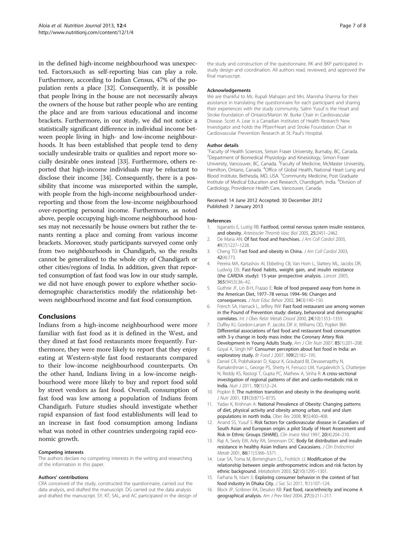in the defined high-income neighbourhood was unexpected. Factors,such as self-reporting bias can play a role. Furthermore, according to Indian Census, 47% of the population rents a place [32]. Consequently, it is possible that people living in the house are not necessarily always the owners of the house but rather people who are renting the place and are from various educational and income brackets. Furthermore, in our study, we did not notice a statistically significant difference in individual income between people living in high- and low-income neighbourhoods. It has been established that people tend to deny socially undesirable traits or qualities and report more socially desirable ones instead [33]. Furthermore, others reported that high-income individuals may be reluctant to disclose their income [34]. Consequently, there is a possibility that income was misreported within the sample, with people from the high-income neighbourhood underreporting and those from the low-income neighbourhood over-reporting personal income. Furthermore, as noted above, people occupying high-income neighbourhood houses may not necessarily be house owners but rather the tenants renting a place and coming from various income brackets. Moreover, study participants surveyed come only from two neighbourhoods in Chandigarh, so the results cannot be generalized to the whole city of Chandigarh or other cities/regions of India. In addition, given that reported consumption of fast food was low in our study sample, we did not have enough power to explore whether sociodemographic characteristics modify the relationship between neighbourhood income and fast food consumption.

## Conclusions

Indians from a high-income neighbourhood were more familiar with fast food as it is defined in the West, and they dined at fast food restaurants more frequently. Furthermore, they were more likely to report that they enjoy eating at Western-style fast food restaurants compared to their low-income neighbourhood counterparts. On the other hand, Indians living in a low-income neighbourhood were more likely to buy and report food sold by street vendors as fast food. Overall, consumption of fast food was low among a population of Indians from Chandigarh. Future studies should investigate whether rapid expansion of fast food establishments will lead to an increase in fast food consumption among Indians what was noted in other countries undergoing rapid economic growth.

#### Competing interests

The authors declare no competing interests in the writing and researching of the information in this paper.

#### Authors' contributions

CRA conceived of the study, constructed the questionnaire, carried out the data analysis, and drafted the manuscript. DG carried out the data analysis and drafted the manuscript. SY, KT, SAL, and AC participated in the design of

the study and construction of the questionnaire. RK and BKP participated in study design and coordination. All authors read, reviewed, and approved the final manuscript.

#### Acknowledgements

We are thankful to Ms. Rupali Mahajan and Mrs. Manisha Sharma for their assistance in translating the questionnaire for each participant and sharing their experiences with the study community. Salim Yusuf is the Heart and Stroke foundation of Ontario/Marion W. Burke Chair in Cardiovascular Disease. Scott A. Lear is a Canadian Institutes of Health Research New Investigator and holds the Pfizer/Heart and Stroke Foundation Chair in Cardiovascular Prevention Research at St. Paul's Hospital.

#### Author details

<sup>1</sup> Faculty of Health Sciences, Simon Fraser University, Burnaby, BC, Canada. 2 Department of Biomedical Physiology and Kinesiology, Simon Fraser University, Vancouver, BC, Canada. <sup>3</sup> Faculty of Medicine, McMaster University Hamilton, Ontario, Canada. <sup>4</sup>Office of Global Health, National Heart Lung and Blood Institute, Bethesda, MD, USA. <sup>5</sup>Community Medicine, Post Graduate Institute of Medical Education and Research, Chandigarh, India. <sup>6</sup>Division of Cardiology, Providence Health Care, Vancouver, Canada.

#### Received: 14 June 2012 Accepted: 30 December 2012 Published: 7 January 2013

#### References

- 1. Isganaitis E, Lustig RB: Fastfood, central nervous system insulin resistance, and obesity. Arterioscler Thromb Vasc Biol 2005, 25:2451–2462.
- 2. De Maria AN: Of fast food and franchises. J Am Coll Cardiol 2003, 41(7):1227–1228.
- 3. Cheng TO: Fast food and obesity in China. J Am Coll Cardiol 2003, 42(4):773.
- 4. Pereira MA, Kartashov AI, Ebbeling CB, Van Horn L, Slattery ML, Jacobs DR, Ludwig DS: Fast-food habits, weight gain, and insulin resistance (the CARDIA study): 15-year prospective analysis. Lancet 2005, 365(9453):36–42.
- 5. Guthrie JF, Lin B-H, Frazao E: Role of food prepared away from home in the American Diet, 1977–78 versus 1994–96: Changes and consequences. J Nutr Educ Behav 2002, 34(3):140–150.
- 6. French SA, Harnack L, Jeffery RW: Fast food restaurant use among women in the Pound of Prevention study: dietary, behavioral and demographic correlates. Int J Obes Relat Metab Disord 2000, 24(10):1353–1359.
- 7. Duffey KJ, Gordon-Larsen P, Jacobs DR Jr, Williams OD, Popkin BM: Differential associations of fast food and restaurant food consumption with 3-y change in body mass index: the Coronary Artery Risk Development in Young Adults Study. Am J Clin Nutr 2007, 85(1):201–208.
- 8. Goyal A, Singh NP: Consumer perception about fast food in India: an exploratory study. Br Food J 2007, 109(2):182-195.
- 9. Daniel CR, Prabhakaran D, Kapur K, Graubard BI, Devasenapthy N, Ramakrishnan L, George PS, Shetty H, Ferrucci LM, Yurgalevitch S, Chatterjee N, Reddy KS, Rastogi T, Gupta PC, Mathew A, Sinha R: A cross-sectional investigation of regional patterns of diet and cardio-metabolic risk in India. Nutr J 2011, 10(1):12–24.
- 10. Popkin B: The nutrition transition and obesity in the developing world. J Nutr 2001, 131(3):871S–873S.
- 11. Yadav K, Krishnan A: National Prevalence of Obesity: Changing patterns of diet, physical activity and obesity among urban, rural and slum populations in north India. Obes Rev 2008, 9(5):400–408.
- 12. Anand SS, Yusuf S: Risk factors for cardiovascular disease in Canadians of South Asian and European origin: a pilot Study of Heart Assessment and Risk in Ethnic Groups (SHARE). Clin Invest Med 1997, 20(4):204–210.
- 13. Raji A, Seely EW, Arky RA, Simonson DC: Body fat distribution and insulin resistance in healthy Asian Indians and Caucasians. J Clin Endocrinol Metab 2001, 86(11):5366–5371.
- 14. Lear SA, Toma M, Birmingham CL, Frohlich JJ: Modification of the relationship between simple anthropometric indices and risk factors by ethnic background. Metabolism 2003, 52(10):1295–1301.
- 15. Farhana N, Islam S: Exploring consumer behavior in the context of fast food industry in Dhaka City. J Soc Sci 2011, 1(1):107–124.
- 16. Block JP, Scribner RA, Desalvo KB: Fast food, race/ethnicity and income A geographical analysis. Am J Prev Med 2004, 27(3):211–217.